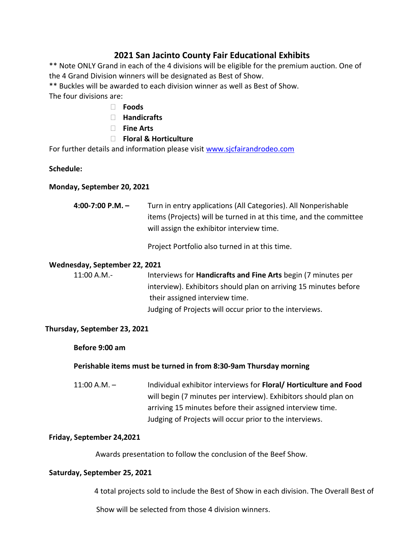# **2021 San Jacinto County Fair Educational Exhibits**

\*\* Note ONLY Grand in each of the 4 divisions will be eligible for the premium auction. One of the 4 Grand Division winners will be designated as Best of Show.

\*\* Buckles will be awarded to each division winner as well as Best of Show.

The four divisions are:

- **Foods**
- **Handicrafts**
- **Fine Arts**
- **Floral & Horticulture**

For further details and information please visit [www.sjcfairandrodeo.com](http://www.sjcfairandrodeo.com/)

# **Schedule:**

# **Monday, September 20, 2021**

| 4:00-7:00 P.M. $-$ | Turn in entry applications (All Categories). All Nonperishable     |
|--------------------|--------------------------------------------------------------------|
|                    | items (Projects) will be turned in at this time, and the committee |
|                    | will assign the exhibitor interview time.                          |

Project Portfolio also turned in at this time.

### **Wednesday, September 22, 2021**

11:00 A.M.- Interviews for **Handicrafts and Fine Arts** begin (7 minutes per interview). Exhibitors should plan on arriving 15 minutes before their assigned interview time. Judging of Projects will occur prior to the interviews.

# **Thursday, September 23, 2021**

**Before 9:00 am** 

# **Perishable items must be turned in from 8:30-9am Thursday morning**

11:00 A.M. – Individual exhibitor interviews for **Floral/ Horticulture and Food** will begin (7 minutes per interview). Exhibitors should plan on arriving 15 minutes before their assigned interview time. Judging of Projects will occur prior to the interviews.

#### **Friday, September 24,2021**

Awards presentation to follow the conclusion of the Beef Show.

# **Saturday, September 25, 2021**

4 total projects sold to include the Best of Show in each division. The Overall Best of

Show will be selected from those 4 division winners.